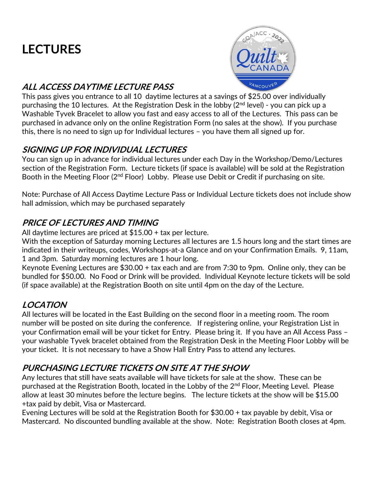# **LECTURES**



### **ALL ACCESS DAYTIME LECTURE PASS**

This pass gives you entrance to all 10 daytime lectures at a savings of \$25.00 over individually purchasing the 10 lectures. At the Registration Desk in the lobby (2<sup>nd</sup> level) - you can pick up a Washable Tyvek Bracelet to allow you fast and easy access to all of the Lectures. This pass can be purchased in advance only on the online Registration Form (no sales at the show). If you purchase this, there is no need to sign up for Individual lectures – you have them all signed up for.

### **SIGNING UP FOR INDIVIDUAL LECTURES**

You can sign up in advance for individual lectures under each Day in the Workshop/Demo/Lectures section of the Registration Form. Lecture tickets (if space is available) will be sold at the Registration Booth in the Meeting Floor (2<sup>nd</sup> Floor) Lobby. Please use Debit or Credit if purchasing on site.

Note: Purchase of All Access Daytime Lecture Pass or Individual Lecture tickets does not include show hall admission, which may be purchased separately

### **PRICE OF LECTURES AND TIMING**

All daytime lectures are priced at \$15.00 + tax per lecture.

With the exception of Saturday morning Lectures all lectures are 1.5 hours long and the start times are indicated in their writeups, codes, Workshops-at-a Glance and on your Confirmation Emails. 9, 11am, 1 and 3pm. Saturday morning lectures are 1 hour long.

Keynote Evening Lectures are \$30.00 + tax each and are from 7:30 to 9pm. Online only, they can be bundled for \$50.00. No Food or Drink will be provided. Individual Keynote lecture tickets will be sold (if space available) at the Registration Booth on site until 4pm on the day of the Lecture.

### **LOCATION**

All lectures will be located in the East Building on the second floor in a meeting room. The room number will be posted on site during the conference. If registering online, your Registration List in your Confirmation email will be your ticket for Entry. Please bring it. If you have an All Access Pass – your washable Tyvek bracelet obtained from the Registration Desk in the Meeting Floor Lobby will be your ticket. It is not necessary to have a Show Hall Entry Pass to attend any lectures.

### **PURCHASING LECTURE TICKETS ON SITE AT THE SHOW**

Any lectures that still have seats available will have tickets for sale at the show. These can be purchased at the Registration Booth, located in the Lobby of the 2<sup>nd</sup> Floor, Meeting Level. Please allow at least 30 minutes before the lecture begins. The lecture tickets at the show will be \$15.00 +tax paid by debit, Visa or Mastercard.

Evening Lectures will be sold at the Registration Booth for \$30.00 + tax payable by debit, Visa or Mastercard. No discounted bundling available at the show. Note: Registration Booth closes at 4pm.